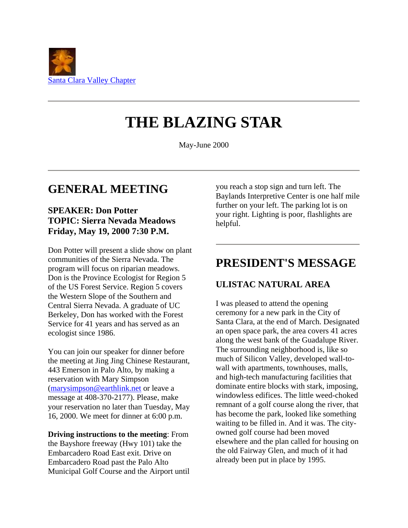

# **THE BLAZING STAR**

May-June 2000

# **GENERAL MEETING**

#### **SPEAKER: Don Potter TOPIC: Sierra Nevada Meadows Friday, May 19, 2000 7:30 P.M.**

Don Potter will present a slide show on plant communities of the Sierra Nevada. The program will focus on riparian meadows. Don is the Province Ecologist for Region 5 of the US Forest Service. Region 5 covers the Western Slope of the Southern and Central Sierra Nevada. A graduate of UC Berkeley, Don has worked with the Forest Service for 41 years and has served as an ecologist since 1986.

You can join our speaker for dinner before the meeting at Jing Jing Chinese Restaurant, 443 Emerson in Palo Alto, by making a reservation with Mary Simpson [\(marysimpson@earthlink.net](mailto:marysimpson@earthlink.net) or leave a message at 408-370-2177). Please, make your reservation no later than Tuesday, May 16, 2000. We meet for dinner at 6:00 p.m.

**Driving instructions to the meeting**: From the Bayshore freeway (Hwy 101) take the Embarcadero Road East exit. Drive on Embarcadero Road past the Palo Alto Municipal Golf Course and the Airport until you reach a stop sign and turn left. The Baylands Interpretive Center is one half mile further on your left. The parking lot is on your right. Lighting is poor, flashlights are helpful.

# **PRESIDENT'S MESSAGE**

#### **ULISTAC NATURAL AREA**

I was pleased to attend the opening ceremony for a new park in the City of Santa Clara, at the end of March. Designated an open space park, the area covers 41 acres along the west bank of the Guadalupe River. The surrounding neighborhood is, like so much of Silicon Valley, developed wall-towall with apartments, townhouses, malls, and high-tech manufacturing facilities that dominate entire blocks with stark, imposing, windowless edifices. The little weed-choked remnant of a golf course along the river, that has become the park, looked like something waiting to be filled in. And it was. The cityowned golf course had been moved elsewhere and the plan called for housing on the old Fairway Glen, and much of it had already been put in place by 1995.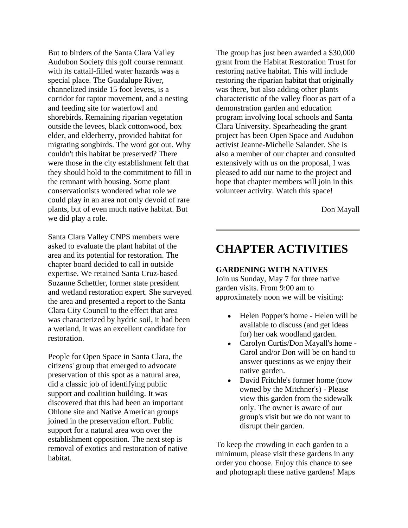But to birders of the Santa Clara Valley Audubon Society this golf course remnant with its cattail-filled water hazards was a special place. The Guadalupe River, channelized inside 15 foot levees, is a corridor for raptor movement, and a nesting and feeding site for waterfowl and shorebirds. Remaining riparian vegetation outside the levees, black cottonwood, box elder, and elderberry, provided habitat for migrating songbirds. The word got out. Why couldn't this habitat be preserved? There were those in the city establishment felt that they should hold to the commitment to fill in the remnant with housing. Some plant conservationists wondered what role we could play in an area not only devoid of rare plants, but of even much native habitat. But we did play a role.

Santa Clara Valley CNPS members were asked to evaluate the plant habitat of the area and its potential for restoration. The chapter board decided to call in outside expertise. We retained Santa Cruz-based Suzanne Schettler, former state president and wetland restoration expert. She surveyed the area and presented a report to the Santa Clara City Council to the effect that area was characterized by hydric soil, it had been a wetland, it was an excellent candidate for restoration.

People for Open Space in Santa Clara, the citizens' group that emerged to advocate preservation of this spot as a natural area, did a classic job of identifying public support and coalition building. It was discovered that this had been an important Ohlone site and Native American groups joined in the preservation effort. Public support for a natural area won over the establishment opposition. The next step is removal of exotics and restoration of native habitat.

The group has just been awarded a \$30,000 grant from the Habitat Restoration Trust for restoring native habitat. This will include restoring the riparian habitat that originally was there, but also adding other plants characteristic of the valley floor as part of a demonstration garden and education program involving local schools and Santa Clara University. Spearheading the grant project has been Open Space and Audubon activist Jeanne-Michelle Salander. She is also a member of our chapter and consulted extensively with us on the proposal, I was pleased to add our name to the project and hope that chapter members will join in this volunteer activity. Watch this space!

Don Mayall

### **CHAPTER ACTIVITIES**

#### **GARDENING WITH NATIVES**

Join us Sunday, May 7 for three native garden visits. From 9:00 am to approximately noon we will be visiting:

- Helen Popper's home Helen will be  $\bullet$ available to discuss (and get ideas for) her oak woodland garden.
- Carolyn Curtis/Don Mayall's home Carol and/or Don will be on hand to answer questions as we enjoy their native garden.
- David Fritchle's former home (now  $\bullet$ owned by the Mitchner's) - Please view this garden from the sidewalk only. The owner is aware of our group's visit but we do not want to disrupt their garden.

To keep the crowding in each garden to a minimum, please visit these gardens in any order you choose. Enjoy this chance to see and photograph these native gardens! Maps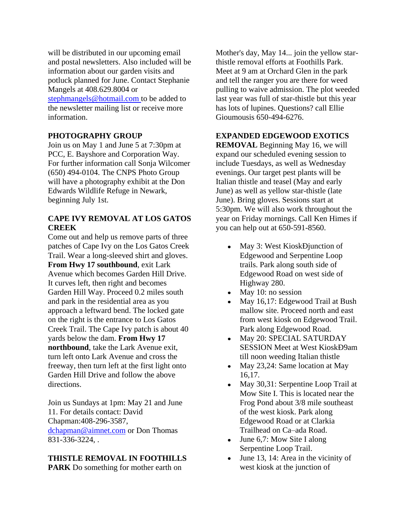will be distributed in our upcoming email and postal newsletters. Also included will be information about our garden visits and potluck planned for June. Contact Stephanie Mangels at 408.629.8004 or [stephmangels@hotmail.com t](mailto:stephmangels@hotmail.com)o be added to the newsletter mailing list or receive more information.

#### **PHOTOGRAPHY GROUP**

Join us on May 1 and June 5 at 7:30pm at PCC, E. Bayshore and Corporation Way. For further information call Sonja Wilcomer (650) 494-0104. The CNPS Photo Group will have a photography exhibit at the Don Edwards Wildlife Refuge in Newark, beginning July 1st.

#### **CAPE IVY REMOVAL AT LOS GATOS CREEK**

Come out and help us remove parts of three patches of Cape Ivy on the Los Gatos Creek Trail. Wear a long-sleeved shirt and gloves. **From Hwy 17 southbound**, exit Lark Avenue which becomes Garden Hill Drive. It curves left, then right and becomes Garden Hill Way. Proceed 0.2 miles south and park in the residential area as you approach a leftward bend. The locked gate on the right is the entrance to Los Gatos Creek Trail. The Cape Ivy patch is about 40 yards below the dam. **From Hwy 17 northbound**, take the Lark Avenue exit, turn left onto Lark Avenue and cross the freeway, then turn left at the first light onto Garden Hill Drive and follow the above directions.

Join us Sundays at 1pm: May 21 and June 11. For details contact: David Chapman:408-296-3587, [dchapman@aimnet.com](mailto:dchapman@aimnet.com) or Don Thomas 831-336-3224, .

# **THISTLE REMOVAL IN FOOTHILLS**

**PARK** Do something for mother earth on

Mother's day, May 14... join the yellow starthistle removal efforts at Foothills Park. Meet at 9 am at Orchard Glen in the park and tell the ranger you are there for weed pulling to waive admission. The plot weeded last year was full of star-thistle but this year has lots of lupines. Questions? call Ellie Gioumousis 650-494-6276.

#### **EXPANDED EDGEWOOD EXOTICS**

**REMOVAL** Beginning May 16, we will expand our scheduled evening session to include Tuesdays, as well as Wednesday evenings. Our target pest plants will be Italian thistle and teasel (May and early June) as well as yellow star-thistle (late June). Bring gloves. Sessions start at 5:30pm. We will also work throughout the year on Friday mornings. Call Ken Himes if you can help out at 650-591-8560.

- May 3: West KioskÐjunction of  $\bullet$ Edgewood and Serpentine Loop trails. Park along south side of Edgewood Road on west side of Highway 280.
- May 10: no session  $\bullet$
- May 16,17: Edgewood Trail at Bush mallow site. Proceed north and east from west kiosk on Edgewood Trail. Park along Edgewood Road.
- May 20: SPECIAL SATURDAY  $\bullet$ SESSION Meet at West KioskÐ9am till noon weeding Italian thistle
- May 23,24: Same location at May  $\bullet$ 16,17.
- $\bullet$ May 30,31: Serpentine Loop Trail at Mow Site I. This is located near the Frog Pond about 3/8 mile southeast of the west kiosk. Park along Edgewood Road or at Clarkia Trailhead on Ca–ada Road.
- June 6,7: Mow Site I along Serpentine Loop Trail.
- June 13, 14: Area in the vicinity of  $\bullet$ west kiosk at the junction of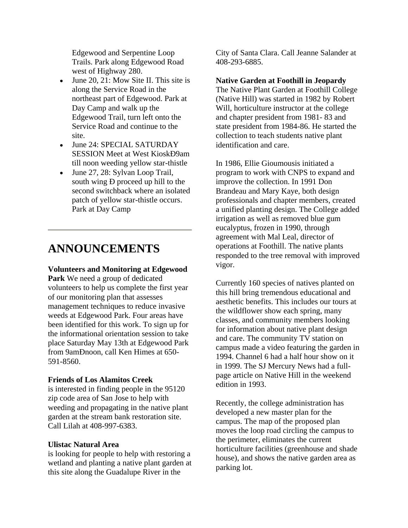Edgewood and Serpentine Loop Trails. Park along Edgewood Road west of Highway 280.

- June 20, 21: Mow Site II. This site is along the Service Road in the northeast part of Edgewood. Park at Day Camp and walk up the Edgewood Trail, turn left onto the Service Road and continue to the site.
- June 24: SPECIAL SATURDAY SESSION Meet at West KioskÐ9am till noon weeding yellow star-thistle
- June 27, 28: Sylvan Loop Trail, south wing Ð proceed up hill to the second switchback where an isolated patch of yellow star-thistle occurs. Park at Day Camp

## **ANNOUNCEMENTS**

#### **Volunteers and Monitoring at Edgewood**

**Park** We need a group of dedicated volunteers to help us complete the first year of our monitoring plan that assesses management techniques to reduce invasive weeds at Edgewood Park. Four areas have been identified for this work. To sign up for the informational orientation session to take place Saturday May 13th at Edgewood Park from 9amÐnoon, call Ken Himes at 650- 591-8560.

#### **Friends of Los Alamitos Creek**

is interested in finding people in the 95120 zip code area of San Jose to help with weeding and propagating in the native plant garden at the stream bank restoration site. Call Lilah at 408-997-6383.

#### **Ulistac Natural Area**

is looking for people to help with restoring a wetland and planting a native plant garden at this site along the Guadalupe River in the

City of Santa Clara. Call Jeanne Salander at 408-293-6885.

#### **Native Garden at Foothill in Jeopardy**

The Native Plant Garden at Foothill College (Native Hill) was started in 1982 by Robert Will, horticulture instructor at the college and chapter president from 1981- 83 and state president from 1984-86. He started the collection to teach students native plant identification and care.

In 1986, Ellie Gioumousis initiated a program to work with CNPS to expand and improve the collection. In 1991 Don Brandeau and Mary Kaye, both design professionals and chapter members, created a unified planting design. The College added irrigation as well as removed blue gum eucalyptus, frozen in 1990, through agreement with Mal Leal, director of operations at Foothill. The native plants responded to the tree removal with improved vigor.

Currently 160 species of natives planted on this hill bring tremendous educational and aesthetic benefits. This includes our tours at the wildflower show each spring, many classes, and community members looking for information about native plant design and care. The community TV station on campus made a video featuring the garden in 1994. Channel 6 had a half hour show on it in 1999. The SJ Mercury News had a fullpage article on Native Hill in the weekend edition in 1993.

Recently, the college administration has developed a new master plan for the campus. The map of the proposed plan moves the loop road circling the campus to the perimeter, eliminates the current horticulture facilities (greenhouse and shade house), and shows the native garden area as parking lot.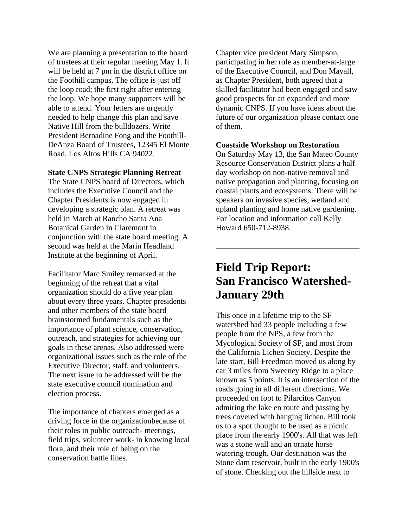We are planning a presentation to the board of trustees at their regular meeting May 1. It will be held at 7 pm in the district office on the Foothill campus. The office is just off the loop road; the first right after entering the loop. We hope many supporters will be able to attend. Your letters are urgently needed to help change this plan and save Native Hill from the bulldozers. Write President Bernadine Fong and the Foothill-DeAnza Board of Trustees, 12345 El Monte Road, Los Altos Hills CA 94022.

#### **State CNPS Strategic Planning Retreat**

The State CNPS board of Directors, which includes the Executive Council and the Chapter Presidents is now engaged in developing a strategic plan. A retreat was held in March at Rancho Santa Ana Botanical Garden in Claremont in conjunction with the state board meeting. A second was held at the Marin Headland Institute at the beginning of April.

Facilitator Marc Smiley remarked at the beginning of the retreat that a vital organization should do a five year plan about every three years. Chapter presidents and other members of the state board brainstormed fundamentals such as the importance of plant science, conservation, outreach, and strategies for achieving our goals in these arenas. Also addressed were organizational issues such as the role of the Executive Director, staff, and volunteers. The next issue to be addressed will be the state executive council nomination and election process.

The importance of chapters emerged as a driving force in the organizationbecause of their roles in public outreach- meetings, field trips, volunteer work- in knowing local flora, and their role of being on the conservation battle lines.

Chapter vice president Mary Simpson, participating in her role as member-at-large of the Executive Council, and Don Mayall, as Chapter President, both agreed that a skilled facilitator had been engaged and saw good prospects for an expanded and more dynamic CNPS. If you have ideas about the future of our organization please contact one of them.

#### **Coastside Workshop on Restoration**

On Saturday May 13, the San Mateo County Resource Conservation District plans a half day workshop on non-native removal and native propagation and planting, focusing on coastal plants and ecosystems. There will be speakers on invasive species, wetland and upland planting and home native gardening. For location and information call Kelly Howard 650-712-8938.

# **Field Trip Report: San Francisco Watershed-January 29th**

This once in a lifetime trip to the SF watershed had 33 people including a few people from the NPS, a few from the Mycological Society of SF, and most from the California Lichen Society. Despite the late start, Bill Freedman moved us along by car 3 miles from Sweeney Ridge to a place known as 5 points. It is an intersection of the roads going in all different directions. We proceeded on foot to Pilarcitos Canyon admiring the lake en route and passing by trees covered with hanging lichen. Bill took us to a spot thought to be used as a picnic place from the early 1900's. All that was left was a stone wall and an ornate horse watering trough. Our destination was the Stone dam reservoir, built in the early 1900's of stone. Checking out the hillside next to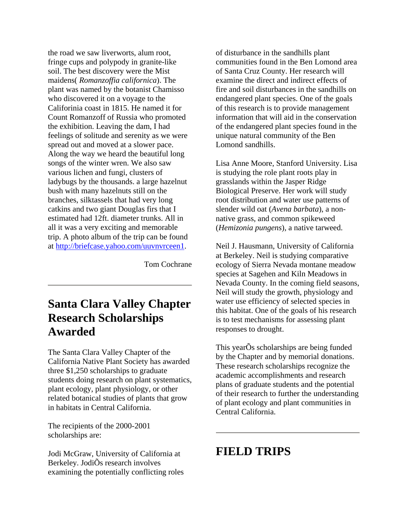the road we saw liverworts, alum root, fringe cups and polypody in granite-like soil. The best discovery were the Mist maidens( *Romanzoffia californica*). The plant was named by the botanist Chamisso who discovered it on a voyage to the Califorinia coast in 1815. He named it for Count Romanzoff of Russia who promoted the exhibition. Leaving the dam, I had feelings of solitude and serenity as we were spread out and moved at a slower pace. Along the way we heard the beautiful long songs of the winter wren. We also saw various lichen and fungi, clusters of ladybugs by the thousands. a large hazelnut bush with many hazelnuts still on the branches, silktassels that had very long catkins and two giant Douglas firs that I estimated had 12ft. diameter trunks. All in all it was a very exciting and memorable trip. A photo album of the trip can be found at [http://briefcase.yahoo.com/uuvnvrceen1.](http://briefcase.yahoo.com/uuvnvrceen1)

Tom Cochrane

# **Santa Clara Valley Chapter Research Scholarships Awarded**

The Santa Clara Valley Chapter of the California Native Plant Society has awarded three \$1,250 scholarships to graduate students doing research on plant systematics, plant ecology, plant physiology, or other related botanical studies of plants that grow in habitats in Central California.

The recipients of the 2000-2001 scholarships are:

Jodi McGraw, University of California at Berkeley. JodiÕs research involves examining the potentially conflicting roles of disturbance in the sandhills plant communities found in the Ben Lomond area of Santa Cruz County. Her research will examine the direct and indirect effects of fire and soil disturbances in the sandhills on endangered plant species. One of the goals of this research is to provide management information that will aid in the conservation of the endangered plant species found in the unique natural community of the Ben Lomond sandhills.

Lisa Anne Moore, Stanford University. Lisa is studying the role plant roots play in grasslands within the Jasper Ridge Biological Preserve. Her work will study root distribution and water use patterns of slender wild oat (*Avena barbata*), a nonnative grass, and common spikeweed (*Hemizonia pungens*), a native tarweed.

Neil J. Hausmann, University of California at Berkeley. Neil is studying comparative ecology of Sierra Nevada montane meadow species at Sagehen and Kiln Meadows in Nevada County. In the coming field seasons, Neil will study the growth, physiology and water use efficiency of selected species in this habitat. One of the goals of his research is to test mechanisms for assessing plant responses to drought.

This yearÕs scholarships are being funded by the Chapter and by memorial donations. These research scholarships recognize the academic accomplishments and research plans of graduate students and the potential of their research to further the understanding of plant ecology and plant communities in Central California.

### **FIELD TRIPS**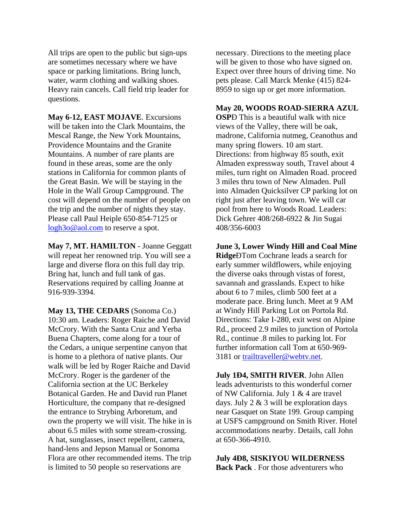All trips are open to the public but sign-ups are sometimes necessary where we have space or parking limitations. Bring lunch, water, warm clothing and walking shoes. Heavy rain cancels. Call field trip leader for questions.

**May 6-12, EAST MOJAVE**. Excursions will be taken into the Clark Mountains, the Mescal Range, the New York Mountains, Providence Mountains and the Granite Mountains. A number of rare plants are found in these areas, some are the only stations in California for common plants of the Great Basin. We will be staying in the Hole in the Wall Group Campground. The cost will depend on the number of people on the trip and the number of nights they stay. Please call Paul Heiple 650-854-7125 or [logh3o@aol.com](mailto:logh3o@aol.com) to reserve a spot.

**May 7, MT. HAMILTON** - Joanne Geggatt will repeat her renowned trip. You will see a large and diverse flora on this full day trip. Bring hat, lunch and full tank of gas. Reservations required by calling Joanne at 916-939-3394.

**May 13, THE CEDARS** (Sonoma Co.) 10:30 am. Leaders: Roger Raiche and David McCrory. With the Santa Cruz and Yerba Buena Chapters, come along for a tour of the Cedars, a unique serpentine canyon that is home to a plethora of native plants. Our walk will be led by Roger Raiche and David McCrory. Roger is the gardener of the California section at the UC Berkeley Botanical Garden. He and David run Planet Horticulture, the company that re-designed the entrance to Strybing Arboretum, and own the property we will visit. The hike in is about 6.5 miles with some stream-crossing. A hat, sunglasses, insect repellent, camera, hand-lens and Jepson Manual or Sonoma Flora are other recommended items. The trip is limited to 50 people so reservations are

necessary. Directions to the meeting place will be given to those who have signed on. Expect over three hours of driving time. No pets please. Call Marck Menke (415) 824- 8959 to sign up or get more information.

#### **May 20, WOODS ROAD-SIERRA AZUL**

**OSP**Ð This is a beautiful walk with nice views of the Valley, there will be oak, madrone, California nutmeg, Ceanothus and many spring flowers. 10 am start. Directions: from highway 85 south, exit Almaden expressway south, Travel about 4 miles, turn right on Almaden Road. proceed 3 miles thru town of New Almaden. Pull into Almaden Quicksilver CP parking lot on right just after leaving town. We will car pool from here to Woods Road. Leaders: Dick Gehrer 408/268-6922 & Jin Sugai 408/356-6003

**June 3, Lower Windy Hill and Coal Mine Ridge**ÐTom Cochrane leads a search for early summer wildflowers, while enjoying the diverse oaks through vistas of forest, savannah and grasslands. Expect to hike about 6 to 7 miles, climb 500 feet at a moderate pace. Bring lunch. Meet at 9 AM at Windy Hill Parking Lot on Portola Rd. Directions: Take I-280, exit west on Alpine Rd., proceed 2.9 miles to junction of Portola Rd., continue .8 miles to parking lot. For further information call Tom at 650-969- 3181 or [trailtraveller@webtv.net.](mailto:trailtraveller@webtv.net)

**July 1Ð4, SMITH RIVER**. John Allen leads adventurists to this wonderful corner of NW California. July 1 & 4 are travel days. July  $2 \& 3$  will be exploration days near Gasquet on State 199. Group camping at USFS campground on Smith River. Hotel accommodations nearby. Details, call John at 650-366-4910.

**July 4Ð8, SISKIYOU WILDERNESS Back Pack** . For those adventurers who